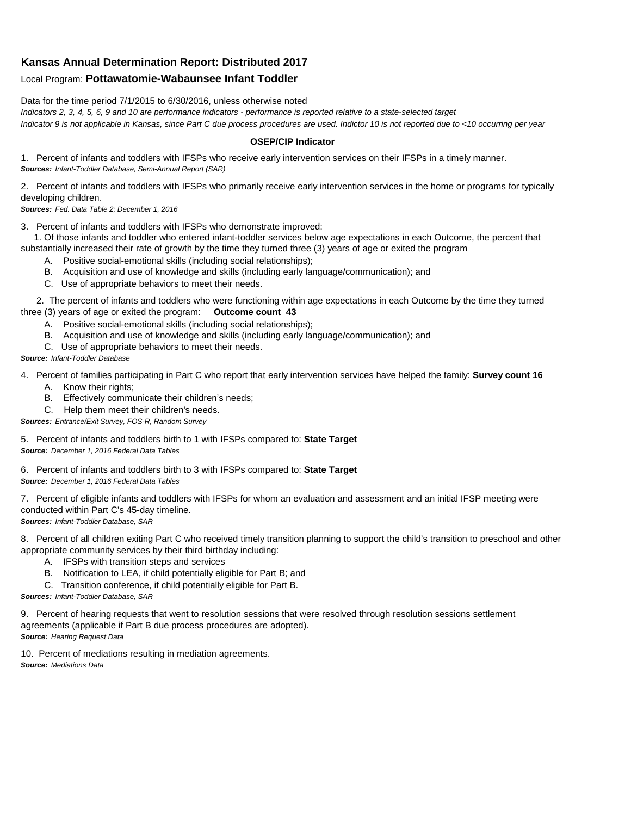## **Kansas Annual Determination Report: Distributed 2017**

## Local Program: **Pottawatomie-Wabaunsee Infant Toddler**

Data for the time period 7/1/2015 to 6/30/2016, unless otherwise noted

*Indicators 2, 3, 4, 5, 6, 9 and 10 are performance indicators - performance is reported relative to a state-selected target Indicator 9 is not applicable in Kansas, since Part C due process procedures are used. Indictor 10 is not reported due to <10 occurring per year*

## **OSEP/CIP Indicator**

1. Percent of infants and toddlers with IFSPs who receive early intervention services on their IFSPs in a timely manner. *Sources: Infant-Toddler Database, Semi-Annual Report (SAR)* 

2. Percent of infants and toddlers with IFSPs who primarily receive early intervention services in the home or programs for typically developing children.

*Sources: Fed. Data Table 2; December 1, 2016*

3. Percent of infants and toddlers with IFSPs who demonstrate improved:

 1. Of those infants and toddler who entered infant-toddler services below age expectations in each Outcome, the percent that substantially increased their rate of growth by the time they turned three (3) years of age or exited the program

- A. Positive social-emotional skills (including social relationships);
- B. Acquisition and use of knowledge and skills (including early language/communication); and
- C. Use of appropriate behaviors to meet their needs.

 2. The percent of infants and toddlers who were functioning within age expectations in each Outcome by the time they turned three (3) years of age or exited the program: **Outcome count 43**

- A. Positive social-emotional skills (including social relationships);
- B. Acquisition and use of knowledge and skills (including early language/communication); and
- C. Use of appropriate behaviors to meet their needs.

## *Source: Infant-Toddler Database*

4. Percent of families participating in Part C who report that early intervention services have helped the family: **Survey count 16**

- A. Know their rights;
- B. Effectively communicate their children's needs;
- C. Help them meet their children's needs.
- *Sources: Entrance/Exit Survey, FOS-R, Random Survey*

5. Percent of infants and toddlers birth to 1 with IFSPs compared to: **State Target** *Source: December 1, 2016 Federal Data Tables*

6. Percent of infants and toddlers birth to 3 with IFSPs compared to: **State Target** *Source: December 1, 2016 Federal Data Tables*

7. Percent of eligible infants and toddlers with IFSPs for whom an evaluation and assessment and an initial IFSP meeting were conducted within Part C's 45-day timeline.

*Sources: Infant-Toddler Database, SAR*

8. Percent of all children exiting Part C who received timely transition planning to support the child's transition to preschool and other appropriate community services by their third birthday including:

- A. IFSPs with transition steps and services
- B. Notification to LEA, if child potentially eligible for Part B; and
- C. Transition conference, if child potentially eligible for Part B.

*Sources: Infant-Toddler Database, SAR*

9. Percent of hearing requests that went to resolution sessions that were resolved through resolution sessions settlement agreements (applicable if Part B due process procedures are adopted). *Source: Hearing Request Data*

10. Percent of mediations resulting in mediation agreements. *Source: Mediations Data*